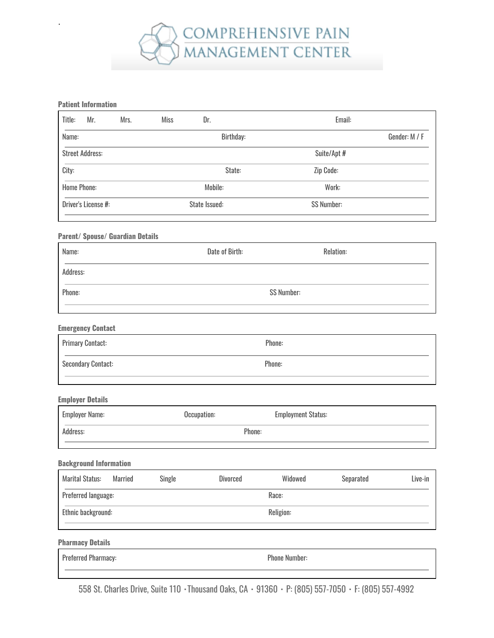

#### **Patient Information**

.

|                        |               |  | Dr.       | Email:            |               |  |
|------------------------|---------------|--|-----------|-------------------|---------------|--|
| Name:                  |               |  | Birthday: |                   | Gender: M / F |  |
| <b>Street Address:</b> |               |  |           | Suite/Apt #       |               |  |
| City:                  |               |  | State:    | Zip Code:         |               |  |
| <b>Home Phone:</b>     |               |  | Mobile:   | Work:             |               |  |
| Driver's License #:    | State Issued: |  |           | <b>SS Number:</b> |               |  |

#### **Parent/ Spouse/ Guardian Details**

| Name:    | Date of Birth:    | Relation: |
|----------|-------------------|-----------|
| Address: |                   |           |
| Phone:   | <b>SS Number:</b> |           |
|          |                   |           |

### **Emergency Contact**

| <b>Primary Contact:</b>   | Phone: |
|---------------------------|--------|
| <b>Secondary Contact:</b> | Phone: |

#### **Employer Details**

| <b>Employer Name:</b> | Occupation: | <b>Employment Status:</b> |
|-----------------------|-------------|---------------------------|
| Address:              | Phone:      |                           |
|                       |             |                           |

#### **Background Information**

| <b>Marital Status:</b> | Married | Single | Divorced | Widowed   | Separated | Live-in |
|------------------------|---------|--------|----------|-----------|-----------|---------|
| Preferred language:    |         |        |          | Race:     |           |         |
| Ethnic background:     |         |        |          | Religion: |           |         |
|                        |         |        |          |           |           |         |

**Pharmacy Details**

| <b>Preferred Pharmacy:</b> | <b>Phone Number:</b> |
|----------------------------|----------------------|
|                            |                      |

558 St. Charles Drive, Suite 110 · Thousand Oaks, CA · 91360 · P: (805) 557-7050 · F: (805) 557-4992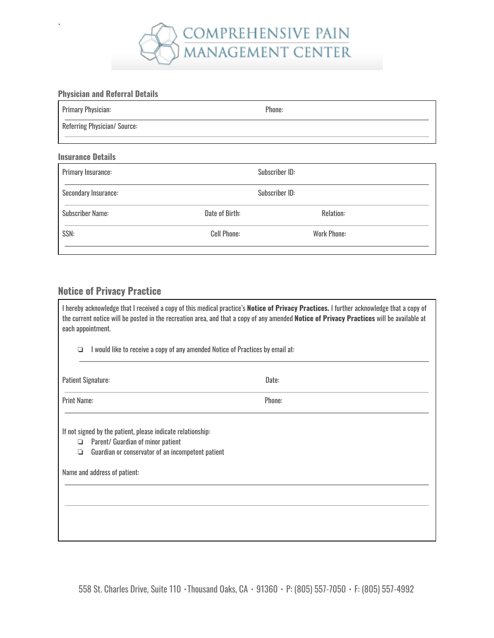

# **Physician and Referral Details**

.

| <b>Primary Physician:</b>    | Phone: |
|------------------------------|--------|
| Referring Physician/ Source: |        |
| <b>Insurance Details</b>     |        |

| Primary Insurance:      |                    | Subscriber ID:     |  |
|-------------------------|--------------------|--------------------|--|
| Secondary Insurance:    |                    | Subscriber ID:     |  |
| <b>Subscriber Name:</b> | Date of Birth:     | Relation:          |  |
| SSN:                    | <b>Cell Phone:</b> | <b>Work Phone:</b> |  |
|                         |                    |                    |  |

# **Notice of Privacy Practice**

| I hereby acknowledge that I received a copy of this medical practice's <b>Notice of Privacy Practices.</b> I further acknowledge that a copy of<br>the current notice will be posted in the recreation area, and that a copy of any amended Notice of Privacy Practices will be available at<br>each appointment. |        |  |  |  |
|-------------------------------------------------------------------------------------------------------------------------------------------------------------------------------------------------------------------------------------------------------------------------------------------------------------------|--------|--|--|--|
| I would like to receive a copy of any amended Notice of Practices by email at:<br>◘                                                                                                                                                                                                                               |        |  |  |  |
| <b>Patient Signature:</b>                                                                                                                                                                                                                                                                                         | Date:  |  |  |  |
| <b>Print Name:</b>                                                                                                                                                                                                                                                                                                | Phone: |  |  |  |
| If not signed by the patient, please indicate relationship:<br>Parent/ Guardian of minor patient<br>❏<br>Guardian or conservator of an incompetent patient<br>◘                                                                                                                                                   |        |  |  |  |
| Name and address of patient:                                                                                                                                                                                                                                                                                      |        |  |  |  |
|                                                                                                                                                                                                                                                                                                                   |        |  |  |  |
|                                                                                                                                                                                                                                                                                                                   |        |  |  |  |
|                                                                                                                                                                                                                                                                                                                   |        |  |  |  |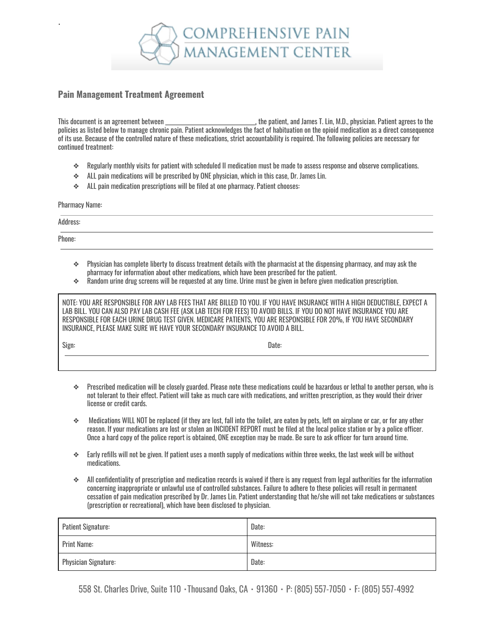

## **Pain Management Treatment Agreement**

This document is an agreement between the same and the patient, and James T. Lin, M.D., physician. Patient agrees to the policies as listed below to manage chronic pain. Patient acknowledges the fact of habituation on the opioid medication as a direct consequence of its use. Because of the controlled nature of these medications, strict accountability is required. The following policies are necessary for continued treatment:

- ❖ Regularly monthly visits for patient with scheduled II medication must be made to assess response and observe complications.
- ❖ ALL pain medications will be prescribed by ONE physician, which in this case, Dr. James Lin.
- ❖ ALL pain medication prescriptions will be filed at one pharmacy. Patient chooses:

Pharmacy Name:

.

Address: Phone:

- ❖ Physician has complete liberty to discuss treatment details with the pharmacist at the dispensing pharmacy, and may ask the pharmacy for information about other medications, which have been prescribed for the patient.
- $\bullet$  Random urine drug screens will be requested at any time. Urine must be given in before given medication prescription.

NOTE: YOU ARE RESPONSIBLE FOR ANY LAB FEES THAT ARE BILLED TO YOU. IF YOU HAVE INSURANCE WITH A HIGH DEDUCTIBLE, EXPECT A LAB BILL. YOU CAN ALSO PAY LAB CASH FEE (ASK LAB TECH FOR FEES) TO AVOID BILLS. IF YOU DO NOT HAVE INSURANCE YOU ARE RESPONSIBLE FOR EACH URINE DRUG TEST GIVEN. MEDICARE PATIENTS, YOU ARE RESPONSIBLE FOR 20%, IF YOU HAVE SECONDARY INSURANCE, PLEASE MAKE SURE WE HAVE YOUR SECONDARY INSURANCE TO AVOID A BILL.

| Sign | ланы |
|------|------|
|      |      |

- ❖ Prescribed medication will be closely guarded. Please note these medications could be hazardous or lethal to another person, who is not tolerant to their effect. Patient will take as much care with medications, and written prescription, as they would their driver license or credit cards.
- ❖ Medications WILL NOT be replaced (if they are lost, fall into the toilet, are eaten by pets, left on airplane or car, or for any other reason. If your medications are lost or stolen an INCIDENT REPORT must be filed at the local police station or by a police officer. Once a hard copy of the police report is obtained, ONE exception may be made. Be sure to ask officer for turn around time.
- $\bullet$  Early refills will not be given. If patient uses a month supply of medications within three weeks, the last week will be without medications.
- $\bullet$  All confidentiality of prescription and medication records is waived if there is any request from legal authorities for the information concerning inappropriate or unlawful use of controlled substances. Failure to adhere to these policies will result in permanent cessation of pain medication prescribed by Dr. James Lin. Patient understanding that he/she will not take medications or substances (prescription or recreational), which have been disclosed to physician.

| <b>Patient Signature:</b>   | Date:    |
|-----------------------------|----------|
| <b>Print Name:</b>          | Witness: |
| <b>Physician Signature:</b> | Date:    |

558 St. Charles Drive, Suite 110 ▪Thousand Oaks, CA ▪ 91360 ▪ P: (805) 557-7050 ▪ F: (805) 557-4992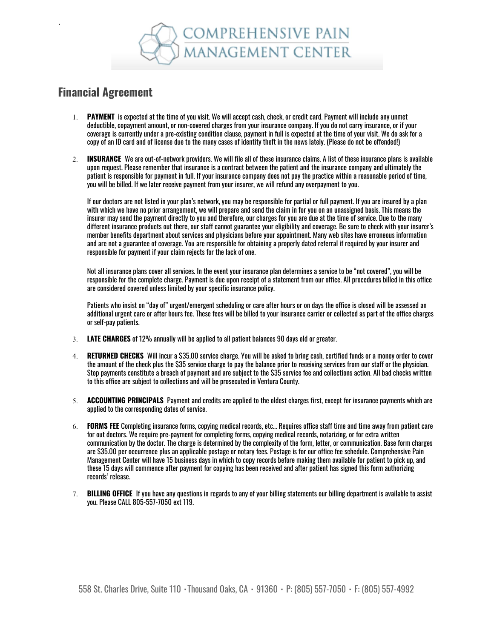

# **Financial Agreement**

.

- 1. **PAYMENT** is expected at the time of you visit. We will accept cash, check, or credit card. Payment will include any unmet deductible, copayment amount, or non-covered charges from your insurance company. If you do not carry insurance, or if your coverage is currently under a pre-existing condition clause, payment in full is expected at the time of your visit. We do ask for a copy of an ID card and of license due to the many cases of identity theft in the news lately. (Please do not be offended!)
- 2. **INSURANCE** We are out-of-network providers. We will file all of these insurance claims. A list of these insurance plans is available upon request. Please remember that insurance is a contract between the patient and the insurance company and ultimately the patient is responsible for payment in full. If your insurance company does not pay the practice within a reasonable period of time, you will be billed. If we later receive payment from your insurer, we will refund any overpayment to you.

If our doctors are not listed in your plan's network, you may be responsible for partial or full payment. If you are insured by a plan with which we have no prior arrangement, we will prepare and send the claim in for you on an unassigned basis. This means the insurer may send the payment directly to you and therefore, our charges for you are due at the time of service. Due to the many different insurance products out there, our staff cannot guarantee your eligibility and coverage. Be sure to check with your insurer's member benefits department about services and physicians before your appointment. Many web sites have erroneous information and are not a guarantee of coverage. You are responsible for obtaining a properly dated referral if required by your insurer and responsible for payment if your claim rejects for the lack of one.

Not all insurance plans cover all services. In the event your insurance plan determines a service to be "not covered", you will be responsible for the complete charge. Payment is due upon receipt of a statement from our office. All procedures billed in this office are considered covered unless limited by your specific insurance policy.

Patients who insist on "day of" urgent/emergent scheduling or care after hours or on days the office is closed will be assessed an additional urgent care or after hours fee. These fees will be billed to your insurance carrier or collected as part of the office charges or self-pay patients.

- 3. **LATE CHARGES** of 12% annually will be applied to all patient balances 90 days old or greater.
- 4. **RETURNED CHECKS** Will incur a \$35.00 service charge. You will be asked to bring cash, certified funds or a money order to cover the amount of the check plus the \$35 service charge to pay the balance prior to receiving services from our staff or the physician. Stop payments constitute a breach of payment and are subject to the \$35 service fee and collections action. All bad checks written to this office are subject to collections and will be prosecuted in Ventura County.
- 5. **ACCOUNTING PRINCIPALS** Payment and credits are applied to the oldest charges first, except for insurance payments which are applied to the corresponding dates of service.
- 6. **FORMS FEE** Completing insurance forms, copying medical records, etc… Requires office staff time and time away from patient care for out doctors. We require pre-payment for completing forms, copying medical records, notarizing, or for extra written communication by the doctor. The charge is determined by the complexity of the form, letter, or communication. Base form charges are \$35.00 per occurrence plus an applicable postage or notary fees. Postage is for our office fee schedule. Comprehensive Pain Management Center will have 15 business days in which to copy records before making them available for patient to pick up, and these 15 days will commence after payment for copying has been received and after patient has signed this form authorizing records' release.
- 7. **BILLING OFFICE** If you have any questions in regards to any of your billing statements our billing department is available to assist you. Please CALL 805-557-7050 ext 119.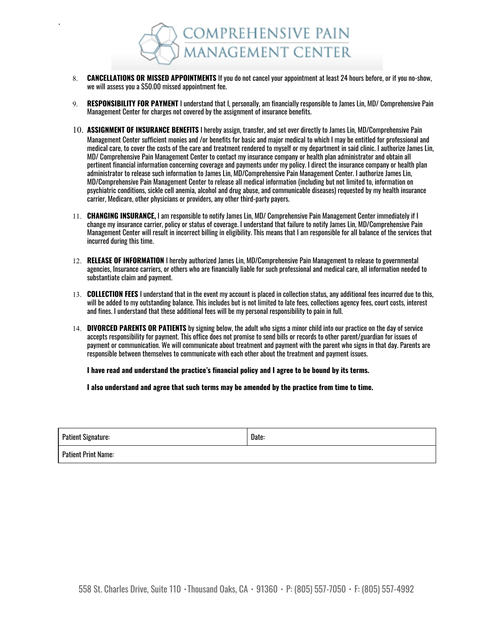

.

- 8. **CANCELLATIONS OR MISSED APPOINTMENTS** If you do not cancel your appointment at least 24 hours before, or if you no-show, we will assess you a \$50.00 missed appointment fee.
- 9. **RESPONSIBILITY FOR PAYMENT** I understand that I, personally, am financially responsible to James Lin, MD/ Comprehensive Pain Management Center for charges not covered by the assignment of insurance benefits.
- 10. **ASSIGNMENT OF INSURANCE BENEFITS** <sup>I</sup> hereby assign, transfer, and set over directly to James Lin, MD/Comprehensive Pain Management Center sufficient monies and /or benefits for basic and major medical to which I may be entitled for professional and medical care, to cover the costs of the care and treatment rendered to myself or my department in said clinic. I authorize James Lin, MD/ Comprehensive Pain Management Center to contact my insurance company or health plan administrator and obtain all pertinent financial information concerning coverage and payments under my policy. I direct the insurance company or health plan administrator to release such information to James Lin, MD/Comprehensive Pain Management Center. I authorize James Lin, MD/Comprehensive Pain Management Center to release all medical information (including but not limited to, information on psychiatric conditions, sickle cell anemia, alcohol and drug abuse, and communicable diseases) requested by my health insurance carrier, Medicare, other physicians or providers, any other third-party payers.
- 11. **CHANGING INSURANCE,** I am responsible to notify James Lin, MD/ Comprehensive Pain Management Center immediately if I change my insurance carrier, policy or status of coverage. I understand that failure to notify James Lin, MD/Comprehensive Pain Management Center will result in incorrect billing in eligibility. This means that I am responsible for all balance of the services that incurred during this time.
- 12. **RELEASE OF INFORMATION** I hereby authorized James Lin, MD/Comprehensive Pain Management to release to governmental agencies, Insurance carriers, or others who are financially liable for such professional and medical care, all information needed to substantiate claim and payment.
- 13. **COLLECTION FEES** I understand that in the event my account is placed in collection status, any additional fees incurred due to this, will be added to my outstanding balance. This includes but is not limited to late fees, collections agency fees, court costs, interest and fines. I understand that these additional fees will be my personal responsibility to pain in full.
- 14. **DIVORCED PARENTS OR PATIENTS** by signing below, the adult who signs a minor child into our practice on the day of service accepts responsibility for payment. This office does not promise to send bills or records to other parent/guardian for issues of payment or communication. We will communicate about treatment and payment with the parent who signs in that day. Parents are responsible between themselves to communicate with each other about the treatment and payment issues.

**I have read and understand the practice's financial policy and I agree to be bound by its terms.**

**I also understand and agree that such terms may be amended by the practice from time to time.**

| <b>Patient Signature:</b>  | Date: |
|----------------------------|-------|
| <b>Patient Print Name:</b> |       |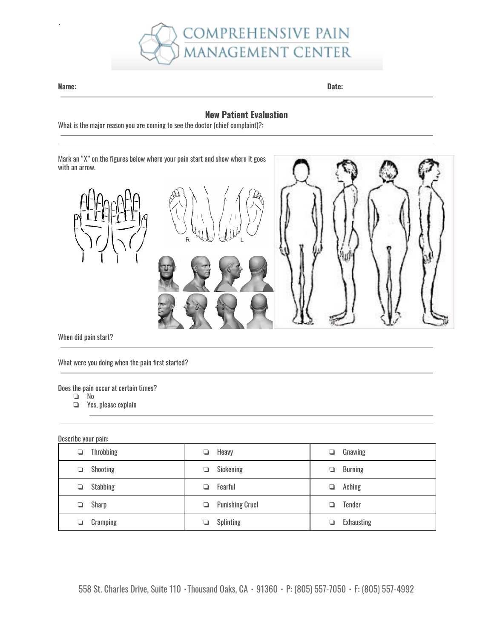

#### **Name: Date:**

.

## **New Patient Evaluation**

What is the major reason you are coming to see the doctor (chief complaint)?:

Mark an "X" on the figures below where your pain start and show where it goes with an arrow. R

When did pain start?

What were you doing when the pain first started?

Does the pain occur at certain times?

- ❏ No
- Yes, please explain

## Describe your pain:

| <b>Throbbing</b><br>⊐ | Heavy<br>❏                  | Gnawing<br>❏        |
|-----------------------|-----------------------------|---------------------|
| Shooting              | Sickening<br>u              | <b>Burning</b><br>❏ |
| <b>Stabbing</b>       | Fearful                     | Aching<br>u         |
| Sharp                 | <b>Punishing Cruel</b><br>❏ | Tender              |
| Cramping              | <b>Splinting</b>            | <b>Exhausting</b>   |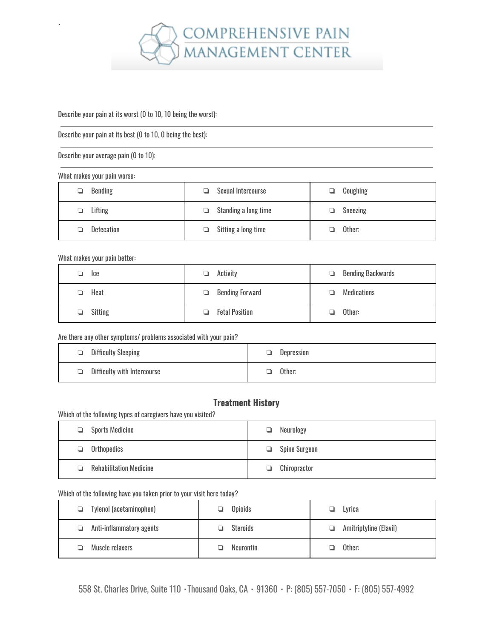

#### Describe your pain at its worst (0 to 10, 10 being the worst):

Describe your pain at its best (0 to 10, 0 being the best):

Describe your average pain (0 to 10):

#### What makes your pain worse:

.

| <b>Bending</b> | Sexual Intercourse<br>⊔     | Coughing<br>⊐ |
|----------------|-----------------------------|---------------|
| Lifting        | $\Box$ Standing a long time | Sneezing      |
| Defecation     | Sitting a long time<br>u.   | Other:        |

### What makes your pain better:

| lce            | Activity               | <b>Bending Backwards</b> |
|----------------|------------------------|--------------------------|
| ⊔              | ⊔                      |                          |
| Heat           | <b>Bending Forward</b> | Medications              |
| n              | ▫                      | . .                      |
| <b>Sitting</b> | <b>Fetal Position</b>  | Other:                   |
| ❏              | L.                     | n                        |

### Are there any other symptoms/ problems associated with your pain?

| Difficulty Sleeping                | Depression |
|------------------------------------|------------|
| $\Box$ Difficulty with Intercourse | Other:     |

# **Treatment History**

## Which of the following types of caregivers have you visited?

| Sports Medicine                | Neurology     |
|--------------------------------|---------------|
| ❏                              | ⊔             |
| Orthopedics<br>▫               | Spine Surgeon |
| <b>Rehabilitation Medicine</b> | Chiropractor  |
| n.                             | ▫             |

## Which of the following have you taken prior to your visit here today?

| Tylenol (acetaminophen)<br>▫  | Opioids          | Lyrica<br>u.                 |
|-------------------------------|------------------|------------------------------|
| Anti-inflammatory agents<br>⊔ | <b>Steroids</b>  | Amitriptyline (Elavil)<br>o. |
| Muscle relaxers               | <b>Neurontin</b> | Other:                       |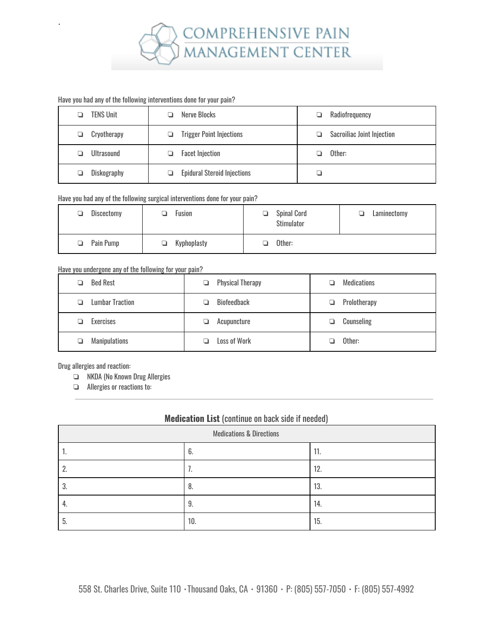

#### Have you had any of the following interventions done for your pain?

.

| <b>TENS Unit</b> | Nerve Blocks                       | Radiofrequency             |
|------------------|------------------------------------|----------------------------|
| Cryotherapy      | <b>Trigger Point Injections</b>    | Sacroiliac Joint Injection |
| Ultrasound       | <b>Facet Injection</b>             | Other:                     |
| Diskography      | <b>Epidural Steroid Injections</b> |                            |

## Have you had any of the following surgical interventions done for your pain?

| Discectomy | Fusion      | <b>Spinal Cord</b><br>n<br><b>Stimulator</b> | Laminectomy<br>⊐ |
|------------|-------------|----------------------------------------------|------------------|
| Pain Pump  | Kyphoplasty | Other:                                       |                  |

## Have you undergone any of the following for your pain?

| <b>Bed Rest</b>             | <b>Physical Therapy</b><br>❏ | <b>Medications</b> |
|-----------------------------|------------------------------|--------------------|
| <b>Lumbar Traction</b><br>ப | <b>Biofeedback</b>           | Prolotherapy<br>Q. |
| Exercises                   | Acupuncture                  | Counseling         |
| <b>Manipulations</b><br>⊐   | Loss of Work                 | Other:             |

Drug allergies and reaction:

- ❏ NKDA (No Known Drug Allergies
- ❏ Allergies or reactions to:

## **Medication List** (continue on back side if needed)

| <b>Medications &amp; Directions</b> |     |     |
|-------------------------------------|-----|-----|
|                                     | b.  | 11. |
|                                     |     | 12. |
|                                     | 0   | 13. |
| т.                                  | IJ. | 14. |
| C.                                  | 10. | 15. |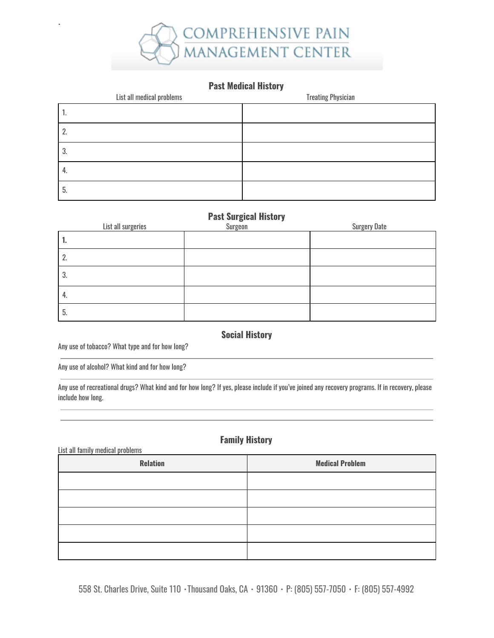

# **Past Medical History**

| List all medical problems | <b>Treating Physician</b> |
|---------------------------|---------------------------|
|                           |                           |
| ٠.                        |                           |
| 3.                        |                           |
| 4.                        |                           |
| . ს                       |                           |

# **Past Surgical History**

| List all surgeries | -<br>Surgeon | <b>Surgery Date</b> |
|--------------------|--------------|---------------------|
|                    |              |                     |
| <u>L.</u>          |              |                     |
| 3.                 |              |                     |
| 4.                 |              |                     |
| ხ.                 |              |                     |

**Social History**

Any use of tobacco? What type and for how long?

.

Any use of alcohol? What kind and for how long?

Any use of recreational drugs? What kind and for how long? If yes, please include if you've joined any recovery programs. If in recovery, please include how long.

# **Family History**

| List all family medical problems |                        |  |  |  |  |  |  |
|----------------------------------|------------------------|--|--|--|--|--|--|
| <b>Relation</b>                  | <b>Medical Problem</b> |  |  |  |  |  |  |
|                                  |                        |  |  |  |  |  |  |
|                                  |                        |  |  |  |  |  |  |
|                                  |                        |  |  |  |  |  |  |
|                                  |                        |  |  |  |  |  |  |
|                                  |                        |  |  |  |  |  |  |

558 St. Charles Drive, Suite 110 · Thousand Oaks, CA · 91360 · P: (805) 557-7050 · F: (805) 557-4992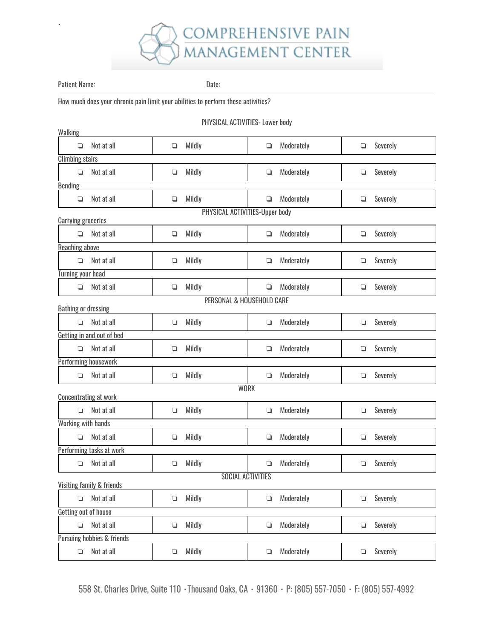

Patient Name: Date:

.

How much does your chronic pain limit your abilities to perform these activities?

#### PHYSICAL ACTIVITIES- Lower body

| Walking                                                     |                              |        |                           |        |            |        |          |  |  |
|-------------------------------------------------------------|------------------------------|--------|---------------------------|--------|------------|--------|----------|--|--|
| ❏                                                           | Not at all                   | О      | Mildly                    | ❏      | Moderately | ❏      | Severely |  |  |
| <b>Climbing stairs</b>                                      |                              |        |                           |        |            |        |          |  |  |
| $\Box$                                                      | Not at all                   | ❏      | Mildly                    | ❏      | Moderately | ❏      | Severely |  |  |
| <b>Bending</b>                                              |                              |        |                           |        |            |        |          |  |  |
| Q                                                           | Not at all                   | ❏      | Mildly                    | ❏      | Moderately | $\Box$ | Severely |  |  |
| PHYSICAL ACTIVITIES-Upper body<br><b>Carrying groceries</b> |                              |        |                           |        |            |        |          |  |  |
| $\Box$                                                      | Not at all                   | ❏      | Mildly                    | $\Box$ | Moderately | ❏      | Severely |  |  |
| <b>Reaching above</b>                                       |                              |        |                           |        |            |        |          |  |  |
| $\Box$                                                      | Not at all                   | $\Box$ | Mildly                    | ❏      | Moderately | ❏      | Severely |  |  |
| <b>Turning your head</b>                                    |                              |        |                           |        |            |        |          |  |  |
| Q                                                           | Not at all                   | ❏      | Mildly                    | $\Box$ | Moderately | ❏      | Severely |  |  |
|                                                             |                              |        | PERSONAL & HOUSEHOLD CARE |        |            |        |          |  |  |
| <b>Bathing or dressing</b>                                  |                              |        |                           |        |            |        |          |  |  |
| Q                                                           | Not at all                   | ❏      | Mildly                    | ❏      | Moderately | ❏      | Severely |  |  |
|                                                             | Getting in and out of bed    |        |                           |        |            |        |          |  |  |
| Q                                                           | Not at all                   | О      | Mildly                    | $\Box$ | Moderately | ❏      | Severely |  |  |
|                                                             | Performing housework         |        |                           |        |            |        |          |  |  |
| Q                                                           | Not at all                   | ❏      | Mildly                    | ❏      | Moderately | ❏      | Severely |  |  |
|                                                             | <b>Concentrating at work</b> |        | <b>WORK</b>               |        |            |        |          |  |  |
| o                                                           | Not at all                   | ❏      | Mildly                    | $\Box$ | Moderately | ❏      | Severely |  |  |
| <b>Working with hands</b>                                   |                              |        |                           |        |            |        |          |  |  |
| Q                                                           | Not at all                   | ❏      | Mildly                    | ❏      | Moderately | ❏      | Severely |  |  |
|                                                             | Performing tasks at work     |        |                           |        |            |        |          |  |  |
| $\Box$                                                      | Not at all                   | $\Box$ | Mildly                    | ❏      | Moderately | ❏      | Severely |  |  |
| <b>SOCIAL ACTIVITIES</b><br>Visiting family & friends       |                              |        |                           |        |            |        |          |  |  |
|                                                             |                              |        |                           |        |            |        |          |  |  |
| $\Box$                                                      | Not at all                   | ❏      | Mildly                    | ❏      | Moderately | ❏      | Severely |  |  |
| Getting out of house                                        |                              |        |                           |        |            |        |          |  |  |
| $\Box$                                                      | Not at all                   | ❏      | Mildly                    | ❏      | Moderately | ❏      | Severely |  |  |
| <b>Pursuing hobbies &amp; friends</b>                       |                              |        |                           |        |            |        |          |  |  |
| О                                                           | Not at all                   | О      | Mildly                    | ❏      | Moderately | $\Box$ | Severely |  |  |

558 St. Charles Drive, Suite 110 · Thousand Oaks, CA · 91360 · P: (805) 557-7050 · F: (805) 557-4992